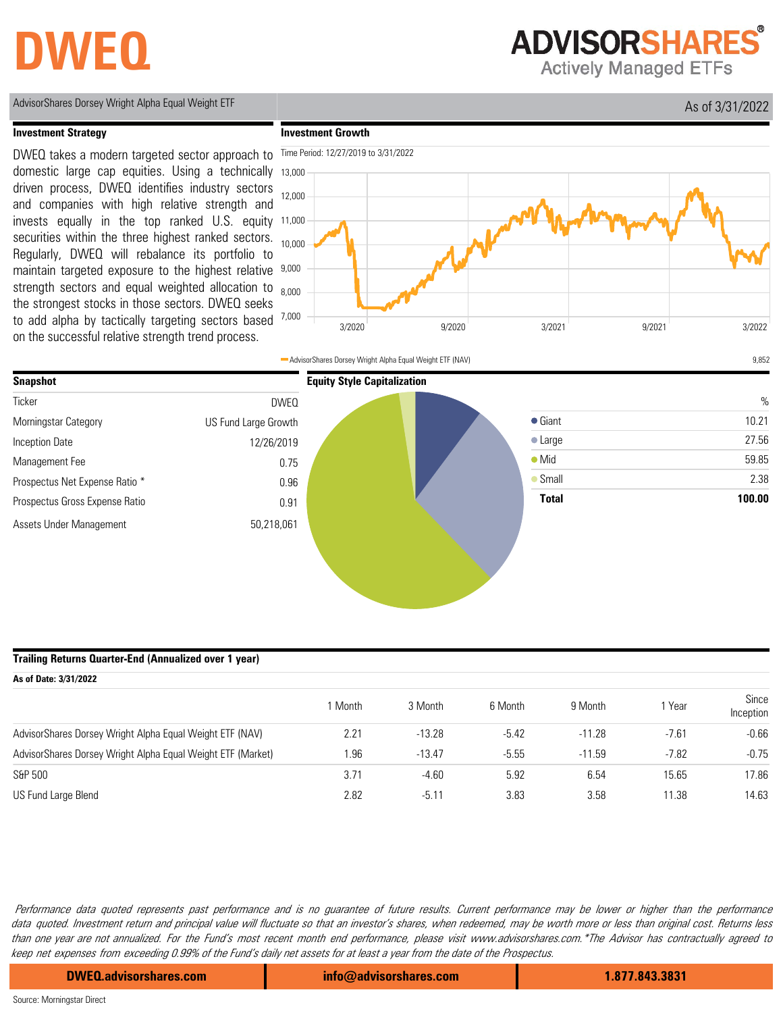# **DWEQ**

**ADVISORSHARES** 

**Actively Managed ETFs** 

AdvisorShares Dorsey Wright Alpha Equal Weight ETF As of 3/31/2022

#### **Investment Strategy**

DWEQ takes a modern targeted sector approach to domestic large cap equities. Using a technically driven process, DWEQ identifies industry sectors and companies with high relative strength and invests equally in the top ranked U.S. equity securities within the three highest ranked sectors. Regularly, DWEQ will rebalance its portfolio to maintain targeted exposure to the highest relative strength sectors and equal weighted allocation to the strongest stocks in those sectors. DWEQ seeks to add alpha by tactically targeting sectors based on the successful relative strength trend process.





#### **Trailing Returns Quarter-End (Annualized over 1 year)**

| As of Date: 3/31/2022                                       |         |          |         |          |         |                    |  |
|-------------------------------------------------------------|---------|----------|---------|----------|---------|--------------------|--|
|                                                             | 1 Month | 3 Month  | 6 Month | 9 Month  | Year    | Since<br>Inception |  |
| AdvisorShares Dorsey Wright Alpha Equal Weight ETF (NAV)    | 2.21    | $-13.28$ | $-5.42$ | $-11.28$ | $-7.61$ | $-0.66$            |  |
| AdvisorShares Dorsey Wright Alpha Equal Weight ETF (Market) | 1.96    | $-13.47$ | $-5.55$ | $-11.59$ | $-7.82$ | $-0.75$            |  |
| S&P 500                                                     | 3.71    | $-4.60$  | 5.92    | 6.54     | 15.65   | 17.86              |  |
| US Fund Large Blend                                         | 2.82    | $-5.11$  | 3.83    | 3.58     | 11.38   | 14.63              |  |

Performance data quoted represents past performance and is no guarantee of future results. Current performance may be lower or higher than the performance data quoted. Investment return and principal value will fluctuate so that an investor's shares, when redeemed, may be worth more or less than original cost. Returns less than one year are not annualized. For the Fund's most recent month end performance, please visit www.advisorshares.com.\*The Advisor has contractually agreed to keep net expenses from exceeding 0.99% of the Fund's daily net assets for at least a year from the date of the Prospectus.

**DWEQ.advisorshares.com info@advisorshares.com 1.877.843.3831**